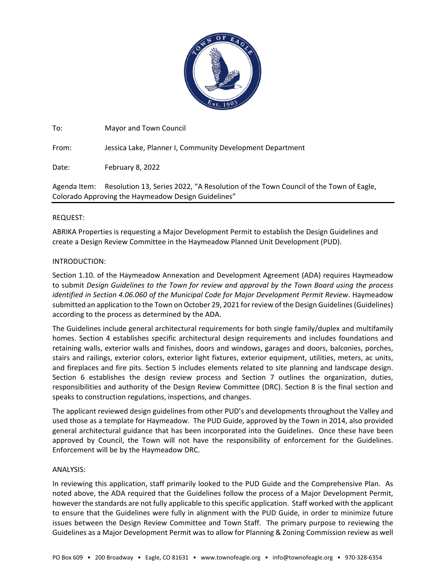

To: Mayor and Town Council

From: Jessica Lake, Planner I, Community Development Department

Date: February 8, 2022

Agenda Item: Resolution 13, Series 2022, "A Resolution of the Town Council of the Town of Eagle, Colorado Approving the Haymeadow Design Guidelines"

# REQUEST:

ABRIKA Properties is requesting a Major Development Permit to establish the Design Guidelines and create a Design Review Committee in the Haymeadow Planned Unit Development (PUD).

## INTRODUCTION:

Section 1.10. of the Haymeadow Annexation and Development Agreement (ADA) requires Haymeadow to submit *Design Guidelines to the Town for review and approval by the Town Board using the process identified in Section 4.06.060 of the Municipal Code for Major Development Permit Review*. Haymeadow submitted an application to the Town on October 29, 2021 for review of the Design Guidelines (Guidelines) according to the process as determined by the ADA.

The Guidelines include general architectural requirements for both single family/duplex and multifamily homes. Section 4 establishes specific architectural design requirements and includes foundations and retaining walls, exterior walls and finishes, doors and windows, garages and doors, balconies, porches, stairs and railings, exterior colors, exterior light fixtures, exterior equipment, utilities, meters, ac units, and fireplaces and fire pits. Section 5 includes elements related to site planning and landscape design. Section 6 establishes the design review process and Section 7 outlines the organization, duties, responsibilities and authority of the Design Review Committee (DRC). Section 8 is the final section and speaks to construction regulations, inspections, and changes.

The applicant reviewed design guidelines from other PUD's and developments throughout the Valley and used those as a template for Haymeadow. The PUD Guide, approved by the Town in 2014, also provided general architectural guidance that has been incorporated into the Guidelines. Once these have been approved by Council, the Town will not have the responsibility of enforcement for the Guidelines. Enforcement will be by the Haymeadow DRC.

### ANALYSIS:

In reviewing this application, staff primarily looked to the PUD Guide and the Comprehensive Plan. As noted above, the ADA required that the Guidelines follow the process of a Major Development Permit, however the standards are not fully applicable to this specific application. Staff worked with the applicant to ensure that the Guidelines were fully in alignment with the PUD Guide, in order to minimize future issues between the Design Review Committee and Town Staff. The primary purpose to reviewing the Guidelines as a Major Development Permit was to allow for Planning & Zoning Commission review as well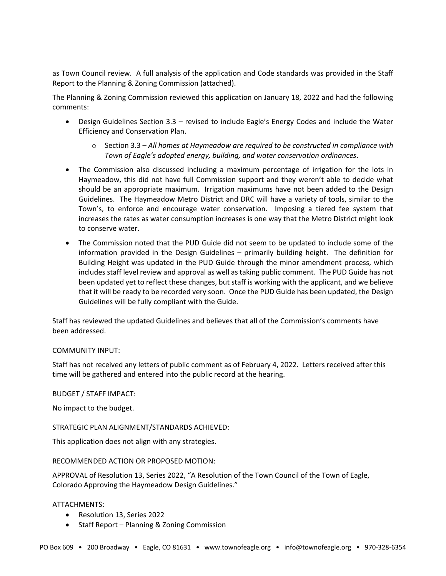as Town Council review. A full analysis of the application and Code standards was provided in the Staff Report to the Planning & Zoning Commission (attached).

The Planning & Zoning Commission reviewed this application on January 18, 2022 and had the following comments:

- Design Guidelines Section 3.3 revised to include Eagle's Energy Codes and include the Water Efficiency and Conservation Plan.
	- o Section 3.3 *All homes at Haymeadow are required to be constructed in compliance with Town of Eagle's adopted energy, building, and water conservation ordinances*.
- The Commission also discussed including a maximum percentage of irrigation for the lots in Haymeadow, this did not have full Commission support and they weren't able to decide what should be an appropriate maximum. Irrigation maximums have not been added to the Design Guidelines. The Haymeadow Metro District and DRC will have a variety of tools, similar to the Town's, to enforce and encourage water conservation. Imposing a tiered fee system that increases the rates as water consumption increases is one way that the Metro District might look to conserve water.
- The Commission noted that the PUD Guide did not seem to be updated to include some of the information provided in the Design Guidelines – primarily building height. The definition for Building Height was updated in the PUD Guide through the minor amendment process, which includes staff level review and approval as well as taking public comment. The PUD Guide has not been updated yet to reflect these changes, but staff is working with the applicant, and we believe that it will be ready to be recorded very soon. Once the PUD Guide has been updated, the Design Guidelines will be fully compliant with the Guide.

Staff has reviewed the updated Guidelines and believes that all of the Commission's comments have been addressed.

### COMMUNITY INPUT:

Staff has not received any letters of public comment as of February 4, 2022. Letters received after this time will be gathered and entered into the public record at the hearing.

### BUDGET / STAFF IMPACT:

No impact to the budget.

# STRATEGIC PLAN ALIGNMENT/STANDARDS ACHIEVED:

This application does not align with any strategies.

### RECOMMENDED ACTION OR PROPOSED MOTION:

APPROVAL of Resolution 13, Series 2022, "A Resolution of the Town Council of the Town of Eagle, Colorado Approving the Haymeadow Design Guidelines."

# ATTACHMENTS:

- Resolution 13, Series 2022
- Staff Report Planning & Zoning Commission